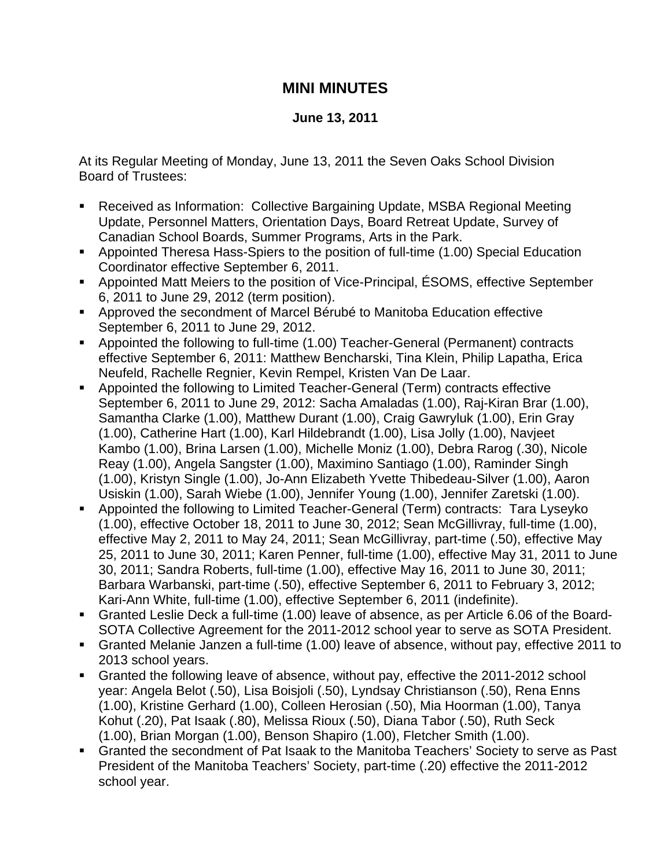#### **MINI MINUTES**

#### **June 13, 2011**

At its Regular Meeting of Monday, June 13, 2011 the Seven Oaks School Division Board of Trustees:

- **Received as Information: Collective Bargaining Update, MSBA Regional Meeting** Update, Personnel Matters, Orientation Days, Board Retreat Update, Survey of Canadian School Boards, Summer Programs, Arts in the Park.
- **Appointed Theresa Hass-Spiers to the position of full-time (1.00) Special Education** Coordinator effective September 6, 2011.
- Appointed Matt Meiers to the position of Vice-Principal, ESOMS, effective September 6, 2011 to June 29, 2012 (term position).
- **EXTER Approved the secondment of Marcel Bérubé to Manitoba Education effective** September 6, 2011 to June 29, 2012.
- Appointed the following to full-time (1.00) Teacher-General (Permanent) contracts effective September 6, 2011: Matthew Bencharski, Tina Klein, Philip Lapatha, Erica Neufeld, Rachelle Regnier, Kevin Rempel, Kristen Van De Laar.
- Appointed the following to Limited Teacher-General (Term) contracts effective September 6, 2011 to June 29, 2012: Sacha Amaladas (1.00), Raj-Kiran Brar (1.00), Samantha Clarke (1.00), Matthew Durant (1.00), Craig Gawryluk (1.00), Erin Gray (1.00), Catherine Hart (1.00), Karl Hildebrandt (1.00), Lisa Jolly (1.00), Navjeet Kambo (1.00), Brina Larsen (1.00), Michelle Moniz (1.00), Debra Rarog (.30), Nicole Reay (1.00), Angela Sangster (1.00), Maximino Santiago (1.00), Raminder Singh (1.00), Kristyn Single (1.00), Jo-Ann Elizabeth Yvette Thibedeau-Silver (1.00), Aaron Usiskin (1.00), Sarah Wiebe (1.00), Jennifer Young (1.00), Jennifer Zaretski (1.00).
- Appointed the following to Limited Teacher-General (Term) contracts: Tara Lyseyko (1.00), effective October 18, 2011 to June 30, 2012; Sean McGillivray, full-time (1.00), effective May 2, 2011 to May 24, 2011; Sean McGillivray, part-time (.50), effective May 25, 2011 to June 30, 2011; Karen Penner, full-time (1.00), effective May 31, 2011 to June 30, 2011; Sandra Roberts, full-time (1.00), effective May 16, 2011 to June 30, 2011; Barbara Warbanski, part-time (.50), effective September 6, 2011 to February 3, 2012; Kari-Ann White, full-time (1.00), effective September 6, 2011 (indefinite).
- Granted Leslie Deck a full-time (1.00) leave of absence, as per Article 6.06 of the Board-SOTA Collective Agreement for the 2011-2012 school year to serve as SOTA President.
- Granted Melanie Janzen a full-time (1.00) leave of absence, without pay, effective 2011 to 2013 school years.
- Granted the following leave of absence, without pay, effective the 2011-2012 school year: Angela Belot (.50), Lisa Boisjoli (.50), Lyndsay Christianson (.50), Rena Enns (1.00), Kristine Gerhard (1.00), Colleen Herosian (.50), Mia Hoorman (1.00), Tanya Kohut (.20), Pat Isaak (.80), Melissa Rioux (.50), Diana Tabor (.50), Ruth Seck (1.00), Brian Morgan (1.00), Benson Shapiro (1.00), Fletcher Smith (1.00).
- Granted the secondment of Pat Isaak to the Manitoba Teachers' Society to serve as Past President of the Manitoba Teachers' Society, part-time (.20) effective the 2011-2012 school year.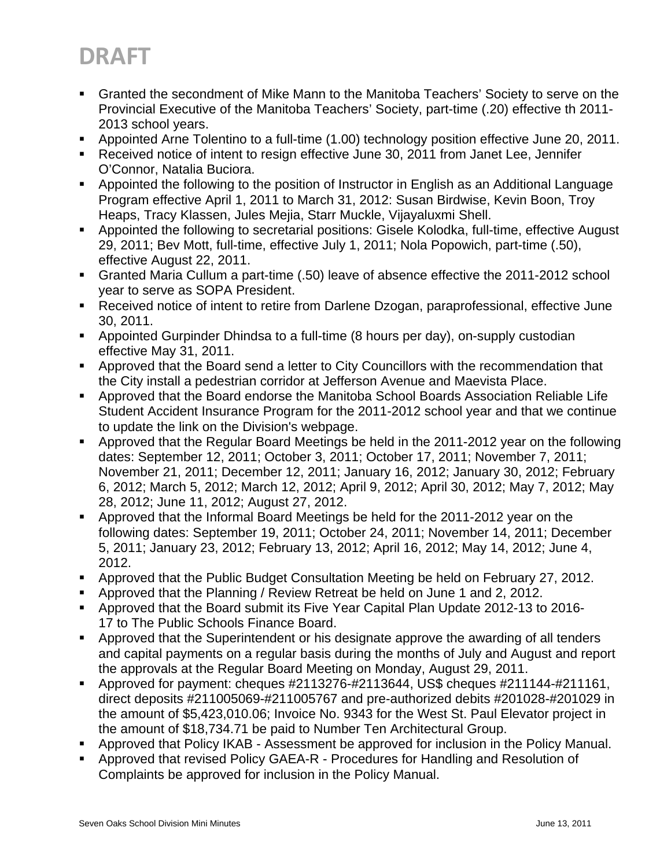- Granted the secondment of Mike Mann to the Manitoba Teachers' Society to serve on the Provincial Executive of the Manitoba Teachers' Society, part-time (.20) effective th 2011- 2013 school years.
- Appointed Arne Tolentino to a full-time (1.00) technology position effective June 20, 2011.
- Received notice of intent to resign effective June 30, 2011 from Janet Lee, Jennifer O'Connor, Natalia Buciora.
- Appointed the following to the position of Instructor in English as an Additional Language Program effective April 1, 2011 to March 31, 2012: Susan Birdwise, Kevin Boon, Troy Heaps, Tracy Klassen, Jules Mejia, Starr Muckle, Vijayaluxmi Shell.
- Appointed the following to secretarial positions: Gisele Kolodka, full-time, effective August 29, 2011; Bev Mott, full-time, effective July 1, 2011; Nola Popowich, part-time (.50), effective August 22, 2011.
- Granted Maria Cullum a part-time (.50) leave of absence effective the 2011-2012 school year to serve as SOPA President.
- Received notice of intent to retire from Darlene Dzogan, paraprofessional, effective June 30, 2011.
- Appointed Gurpinder Dhindsa to a full-time (8 hours per day), on-supply custodian effective May 31, 2011.
- Approved that the Board send a letter to City Councillors with the recommendation that the City install a pedestrian corridor at Jefferson Avenue and Maevista Place.
- Approved that the Board endorse the Manitoba School Boards Association Reliable Life Student Accident Insurance Program for the 2011-2012 school year and that we continue to update the link on the Division's webpage.
- Approved that the Regular Board Meetings be held in the 2011-2012 year on the following dates: September 12, 2011; October 3, 2011; October 17, 2011; November 7, 2011; November 21, 2011; December 12, 2011; January 16, 2012; January 30, 2012; February 6, 2012; March 5, 2012; March 12, 2012; April 9, 2012; April 30, 2012; May 7, 2012; May 28, 2012; June 11, 2012; August 27, 2012.
- Approved that the Informal Board Meetings be held for the 2011-2012 year on the following dates: September 19, 2011; October 24, 2011; November 14, 2011; December 5, 2011; January 23, 2012; February 13, 2012; April 16, 2012; May 14, 2012; June 4, 2012.
- Approved that the Public Budget Consultation Meeting be held on February 27, 2012.
- Approved that the Planning / Review Retreat be held on June 1 and 2, 2012.
- Approved that the Board submit its Five Year Capital Plan Update 2012-13 to 2016- 17 to The Public Schools Finance Board.
- Approved that the Superintendent or his designate approve the awarding of all tenders and capital payments on a regular basis during the months of July and August and report the approvals at the Regular Board Meeting on Monday, August 29, 2011.
- Approved for payment: cheques #2113276-#2113644, US\$ cheques #211144-#211161, direct deposits #211005069-#211005767 and pre-authorized debits #201028-#201029 in the amount of \$5,423,010.06; Invoice No. 9343 for the West St. Paul Elevator project in the amount of \$18,734.71 be paid to Number Ten Architectural Group.
- Approved that Policy IKAB Assessment be approved for inclusion in the Policy Manual.
- Approved that revised Policy GAEA-R Procedures for Handling and Resolution of Complaints be approved for inclusion in the Policy Manual.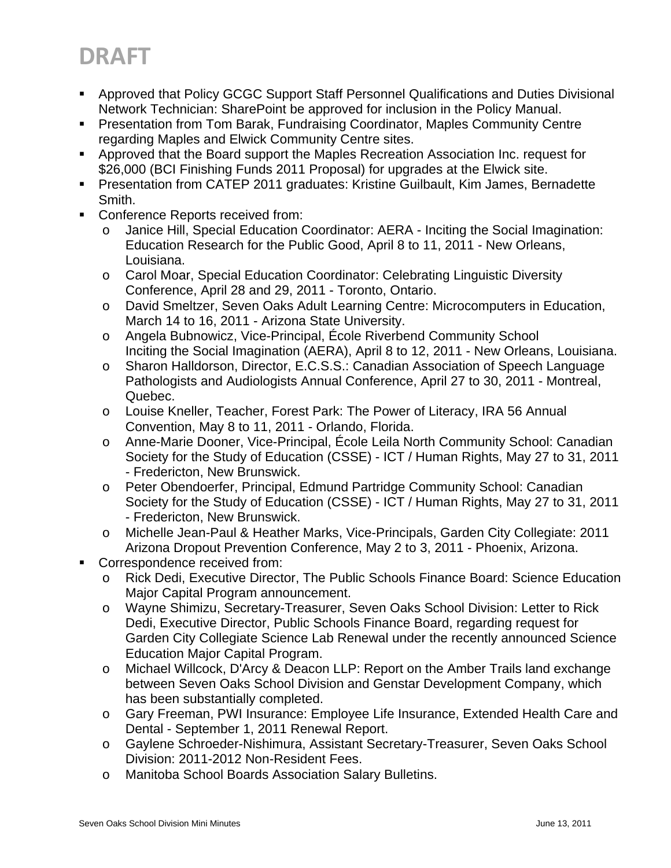- Approved that Policy GCGC Support Staff Personnel Qualifications and Duties Divisional Network Technician: SharePoint be approved for inclusion in the Policy Manual.
- **Presentation from Tom Barak, Fundraising Coordinator, Maples Community Centre** regarding Maples and Elwick Community Centre sites.
- Approved that the Board support the Maples Recreation Association Inc. request for \$26,000 (BCI Finishing Funds 2011 Proposal) for upgrades at the Elwick site.
- Presentation from CATEP 2011 graduates: Kristine Guilbault, Kim James, Bernadette Smith.
- **Conference Reports received from:** 
	- o Janice Hill, Special Education Coordinator: AERA Inciting the Social Imagination: Education Research for the Public Good, April 8 to 11, 2011 - New Orleans, Louisiana.
	- o Carol Moar, Special Education Coordinator: Celebrating Linguistic Diversity Conference, April 28 and 29, 2011 - Toronto, Ontario.
	- o David Smeltzer, Seven Oaks Adult Learning Centre: Microcomputers in Education, March 14 to 16, 2011 - Arizona State University.
	- o Angela Bubnowicz, Vice-Principal, École Riverbend Community School Inciting the Social Imagination (AERA), April 8 to 12, 2011 - New Orleans, Louisiana.
	- o Sharon Halldorson, Director, E.C.S.S.: Canadian Association of Speech Language Pathologists and Audiologists Annual Conference, April 27 to 30, 2011 - Montreal, Quebec.
	- o Louise Kneller, Teacher, Forest Park: The Power of Literacy, IRA 56 Annual Convention, May 8 to 11, 2011 - Orlando, Florida.
	- o Anne-Marie Dooner, Vice-Principal, École Leila North Community School: Canadian Society for the Study of Education (CSSE) - ICT / Human Rights, May 27 to 31, 2011 - Fredericton, New Brunswick.
	- o Peter Obendoerfer, Principal, Edmund Partridge Community School: Canadian Society for the Study of Education (CSSE) - ICT / Human Rights, May 27 to 31, 2011 - Fredericton, New Brunswick.
	- o Michelle Jean-Paul & Heather Marks, Vice-Principals, Garden City Collegiate: 2011 Arizona Dropout Prevention Conference, May 2 to 3, 2011 - Phoenix, Arizona.
- Correspondence received from:
	- o Rick Dedi, Executive Director, The Public Schools Finance Board: Science Education Major Capital Program announcement.
	- o Wayne Shimizu, Secretary-Treasurer, Seven Oaks School Division: Letter to Rick Dedi, Executive Director, Public Schools Finance Board, regarding request for Garden City Collegiate Science Lab Renewal under the recently announced Science Education Major Capital Program.
	- o Michael Willcock, D'Arcy & Deacon LLP: Report on the Amber Trails land exchange between Seven Oaks School Division and Genstar Development Company, which has been substantially completed.
	- o Gary Freeman, PWI Insurance: Employee Life Insurance, Extended Health Care and Dental - September 1, 2011 Renewal Report.
	- o Gaylene Schroeder-Nishimura, Assistant Secretary-Treasurer, Seven Oaks School Division: 2011-2012 Non-Resident Fees.
	- o Manitoba School Boards Association Salary Bulletins.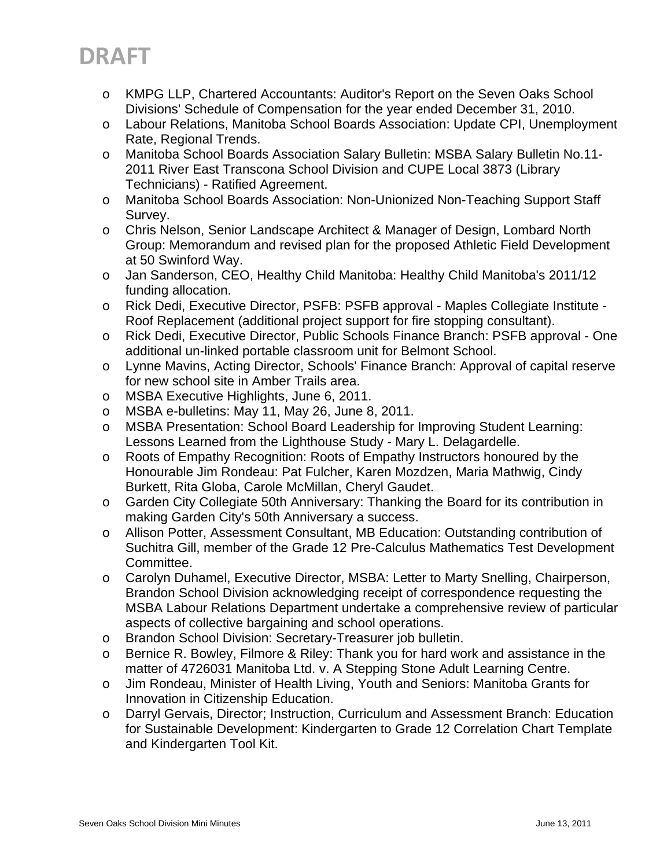- o KMPG LLP, Chartered Accountants: Auditor's Report on the Seven Oaks School Divisions' Schedule of Compensation for the year ended December 31, 2010.
- o Labour Relations, Manitoba School Boards Association: Update CPI, Unemployment Rate, Regional Trends.
- o Manitoba School Boards Association Salary Bulletin: MSBA Salary Bulletin No.11-2011 River East Transcona School Division and CUPE Local 3873 (Library Technicians) - Ratified Agreement.
- o Manitoba School Boards Association: Non-Unionized Non-Teaching Support Staff Survey.
- o Chris Nelson, Senior Landscape Architect & Manager of Design, Lombard North Group: Memorandum and revised plan for the proposed Athletic Field Development at 50 Swinford Way.
- o Jan Sanderson, CEO, Healthy Child Manitoba: Healthy Child Manitoba's 2011/12 funding allocation.
- o Rick Dedi, Executive Director, PSFB: PSFB approval Maples Collegiate Institute Roof Replacement (additional project support for fire stopping consultant).
- o Rick Dedi, Executive Director, Public Schools Finance Branch: PSFB approval One additional un-linked portable classroom unit for Belmont School.
- o Lynne Mavins, Acting Director, Schools' Finance Branch: Approval of capital reserve for new school site in Amber Trails area.
- o MSBA Executive Highlights, June 6, 2011.
- o MSBA e-bulletins: May 11, May 26, June 8, 2011.
- o MSBA Presentation: School Board Leadership for Improving Student Learning: Lessons Learned from the Lighthouse Study - Mary L. Delagardelle.
- o Roots of Empathy Recognition: Roots of Empathy Instructors honoured by the Honourable Jim Rondeau: Pat Fulcher, Karen Mozdzen, Maria Mathwig, Cindy Burkett, Rita Globa, Carole McMillan, Cheryl Gaudet.
- o Garden City Collegiate 50th Anniversary: Thanking the Board for its contribution in making Garden City's 50th Anniversary a success.
- o Allison Potter, Assessment Consultant, MB Education: Outstanding contribution of Suchitra Gill, member of the Grade 12 Pre-Calculus Mathematics Test Development Committee.
- o Carolyn Duhamel, Executive Director, MSBA: Letter to Marty Snelling, Chairperson, Brandon School Division acknowledging receipt of correspondence requesting the MSBA Labour Relations Department undertake a comprehensive review of particular aspects of collective bargaining and school operations.
- o Brandon School Division: Secretary-Treasurer job bulletin.
- o Bernice R. Bowley, Filmore & Riley: Thank you for hard work and assistance in the matter of 4726031 Manitoba Ltd. v. A Stepping Stone Adult Learning Centre.
- o Jim Rondeau, Minister of Health Living, Youth and Seniors: Manitoba Grants for Innovation in Citizenship Education.
- o Darryl Gervais, Director; Instruction, Curriculum and Assessment Branch: Education for Sustainable Development: Kindergarten to Grade 12 Correlation Chart Template and Kindergarten Tool Kit.